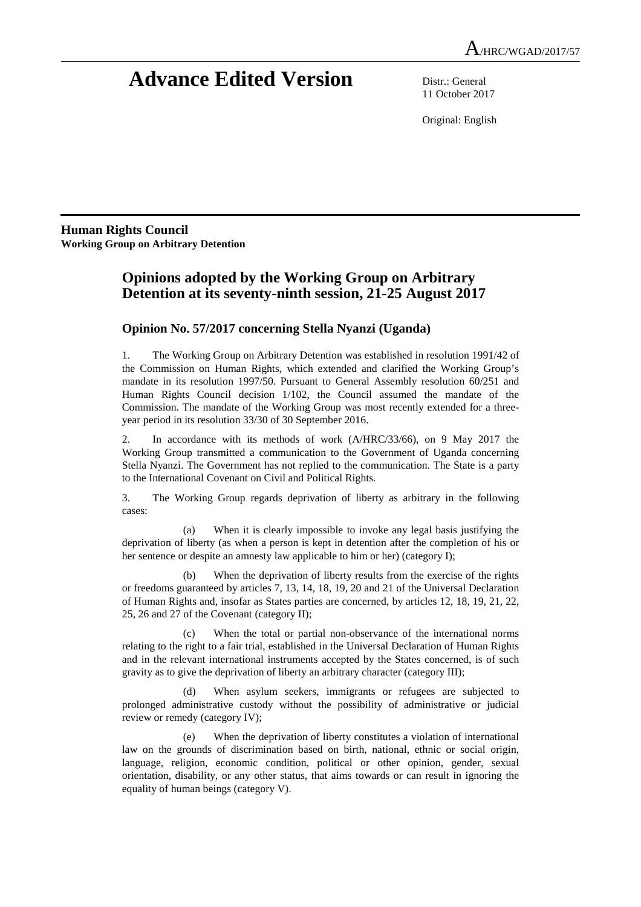# **Advance Edited Version** Distr.: General

11 October 2017

Original: English

**Human Rights Council Working Group on Arbitrary Detention** 

## **Opinions adopted by the Working Group on Arbitrary Detention at its seventy-ninth session, 21-25 August 2017**

### **Opinion No. 57/2017 concerning Stella Nyanzi (Uganda)**

1. The Working Group on Arbitrary Detention was established in resolution 1991/42 of the Commission on Human Rights, which extended and clarified the Working Group's mandate in its resolution 1997/50. Pursuant to General Assembly resolution 60/251 and Human Rights Council decision 1/102, the Council assumed the mandate of the Commission. The mandate of the Working Group was most recently extended for a threeyear period in its resolution 33/30 of 30 September 2016.

2. In accordance with its methods of work (A/HRC/33/66), on 9 May 2017 the Working Group transmitted a communication to the Government of Uganda concerning Stella Nyanzi. The Government has not replied to the communication. The State is a party to the International Covenant on Civil and Political Rights.

3. The Working Group regards deprivation of liberty as arbitrary in the following cases:

 (a) When it is clearly impossible to invoke any legal basis justifying the deprivation of liberty (as when a person is kept in detention after the completion of his or her sentence or despite an amnesty law applicable to him or her) (category I);

 (b) When the deprivation of liberty results from the exercise of the rights or freedoms guaranteed by articles 7, 13, 14, 18, 19, 20 and 21 of the Universal Declaration of Human Rights and, insofar as States parties are concerned, by articles 12, 18, 19, 21, 22, 25, 26 and 27 of the Covenant (category II);

 (c) When the total or partial non-observance of the international norms relating to the right to a fair trial, established in the Universal Declaration of Human Rights and in the relevant international instruments accepted by the States concerned, is of such gravity as to give the deprivation of liberty an arbitrary character (category III);

 (d) When asylum seekers, immigrants or refugees are subjected to prolonged administrative custody without the possibility of administrative or judicial review or remedy (category IV);

 (e) When the deprivation of liberty constitutes a violation of international law on the grounds of discrimination based on birth, national, ethnic or social origin, language, religion, economic condition, political or other opinion, gender, sexual orientation, disability, or any other status, that aims towards or can result in ignoring the equality of human beings (category V).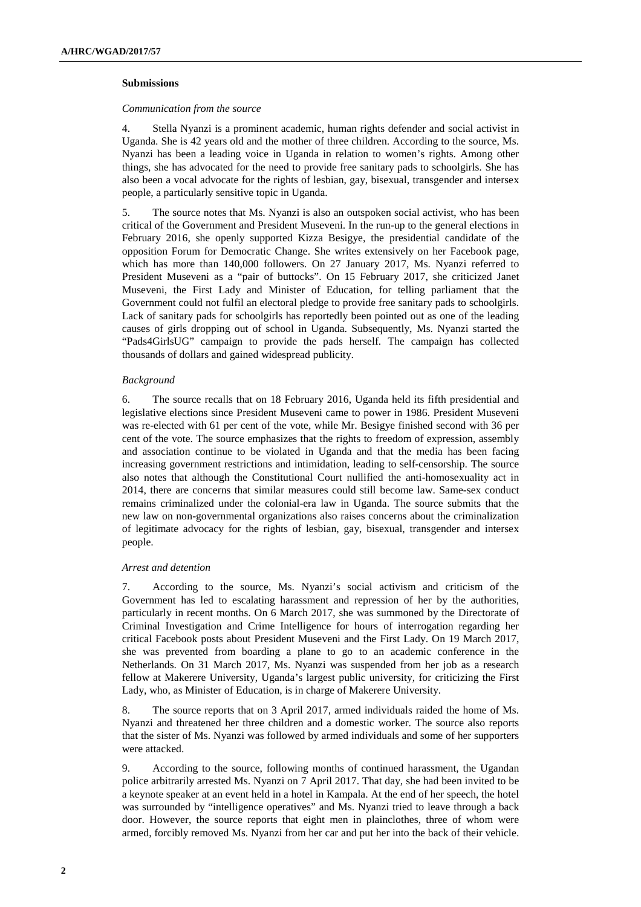#### **Submissions**

#### *Communication from the source*

4. Stella Nyanzi is a prominent academic, human rights defender and social activist in Uganda. She is 42 years old and the mother of three children. According to the source, Ms. Nyanzi has been a leading voice in Uganda in relation to women's rights. Among other things, she has advocated for the need to provide free sanitary pads to schoolgirls. She has also been a vocal advocate for the rights of lesbian, gay, bisexual, transgender and intersex people, a particularly sensitive topic in Uganda.

5. The source notes that Ms. Nyanzi is also an outspoken social activist, who has been critical of the Government and President Museveni. In the run-up to the general elections in February 2016, she openly supported Kizza Besigye, the presidential candidate of the opposition Forum for Democratic Change. She writes extensively on her Facebook page, which has more than 140,000 followers. On 27 January 2017, Ms. Nyanzi referred to President Museveni as a "pair of buttocks". On 15 February 2017, she criticized Janet Museveni, the First Lady and Minister of Education, for telling parliament that the Government could not fulfil an electoral pledge to provide free sanitary pads to schoolgirls. Lack of sanitary pads for schoolgirls has reportedly been pointed out as one of the leading causes of girls dropping out of school in Uganda. Subsequently, Ms. Nyanzi started the "Pads4GirlsUG" campaign to provide the pads herself. The campaign has collected thousands of dollars and gained widespread publicity.

#### *Background*

6. The source recalls that on 18 February 2016, Uganda held its fifth presidential and legislative elections since President Museveni came to power in 1986. President Museveni was re-elected with 61 per cent of the vote, while Mr. Besigye finished second with 36 per cent of the vote. The source emphasizes that the rights to freedom of expression, assembly and association continue to be violated in Uganda and that the media has been facing increasing government restrictions and intimidation, leading to self-censorship. The source also notes that although the Constitutional Court nullified the anti-homosexuality act in 2014, there are concerns that similar measures could still become law. Same-sex conduct remains criminalized under the colonial-era law in Uganda. The source submits that the new law on non-governmental organizations also raises concerns about the criminalization of legitimate advocacy for the rights of lesbian, gay, bisexual, transgender and intersex people.

#### *Arrest and detention*

7. According to the source, Ms. Nyanzi's social activism and criticism of the Government has led to escalating harassment and repression of her by the authorities, particularly in recent months. On 6 March 2017, she was summoned by the Directorate of Criminal Investigation and Crime Intelligence for hours of interrogation regarding her critical Facebook posts about President Museveni and the First Lady. On 19 March 2017, she was prevented from boarding a plane to go to an academic conference in the Netherlands. On 31 March 2017, Ms. Nyanzi was suspended from her job as a research fellow at Makerere University, Uganda's largest public university, for criticizing the First Lady, who, as Minister of Education, is in charge of Makerere University.

8. The source reports that on 3 April 2017, armed individuals raided the home of Ms. Nyanzi and threatened her three children and a domestic worker. The source also reports that the sister of Ms. Nyanzi was followed by armed individuals and some of her supporters were attacked.

9. According to the source, following months of continued harassment, the Ugandan police arbitrarily arrested Ms. Nyanzi on 7 April 2017. That day, she had been invited to be a keynote speaker at an event held in a hotel in Kampala. At the end of her speech, the hotel was surrounded by "intelligence operatives" and Ms. Nyanzi tried to leave through a back door. However, the source reports that eight men in plainclothes, three of whom were armed, forcibly removed Ms. Nyanzi from her car and put her into the back of their vehicle.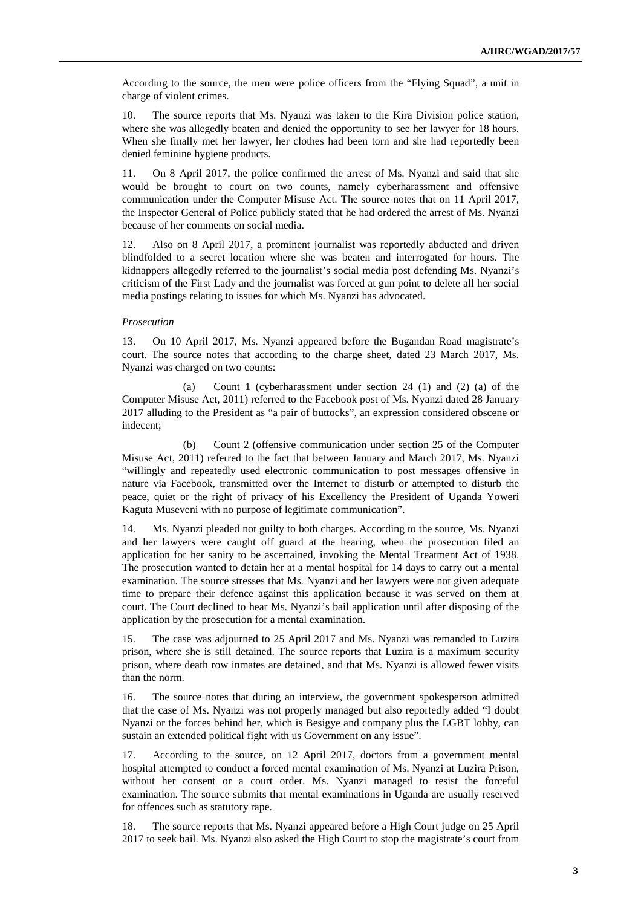According to the source, the men were police officers from the "Flying Squad", a unit in charge of violent crimes.

10. The source reports that Ms. Nyanzi was taken to the Kira Division police station, where she was allegedly beaten and denied the opportunity to see her lawyer for 18 hours. When she finally met her lawyer, her clothes had been torn and she had reportedly been denied feminine hygiene products.

11. On 8 April 2017, the police confirmed the arrest of Ms. Nyanzi and said that she would be brought to court on two counts, namely cyberharassment and offensive communication under the Computer Misuse Act. The source notes that on 11 April 2017, the Inspector General of Police publicly stated that he had ordered the arrest of Ms. Nyanzi because of her comments on social media.

12. Also on 8 April 2017, a prominent journalist was reportedly abducted and driven blindfolded to a secret location where she was beaten and interrogated for hours. The kidnappers allegedly referred to the journalist's social media post defending Ms. Nyanzi's criticism of the First Lady and the journalist was forced at gun point to delete all her social media postings relating to issues for which Ms. Nyanzi has advocated.

#### *Prosecution*

13. On 10 April 2017, Ms. Nyanzi appeared before the Bugandan Road magistrate's court. The source notes that according to the charge sheet, dated 23 March 2017, Ms. Nyanzi was charged on two counts:

 (a) Count 1 (cyberharassment under section 24 (1) and (2) (a) of the Computer Misuse Act, 2011) referred to the Facebook post of Ms. Nyanzi dated 28 January 2017 alluding to the President as "a pair of buttocks", an expression considered obscene or indecent;

 (b) Count 2 (offensive communication under section 25 of the Computer Misuse Act, 2011) referred to the fact that between January and March 2017, Ms. Nyanzi "willingly and repeatedly used electronic communication to post messages offensive in nature via Facebook, transmitted over the Internet to disturb or attempted to disturb the peace, quiet or the right of privacy of his Excellency the President of Uganda Yoweri Kaguta Museveni with no purpose of legitimate communication".

14. Ms. Nyanzi pleaded not guilty to both charges. According to the source, Ms. Nyanzi and her lawyers were caught off guard at the hearing, when the prosecution filed an application for her sanity to be ascertained, invoking the Mental Treatment Act of 1938. The prosecution wanted to detain her at a mental hospital for 14 days to carry out a mental examination. The source stresses that Ms. Nyanzi and her lawyers were not given adequate time to prepare their defence against this application because it was served on them at court. The Court declined to hear Ms. Nyanzi's bail application until after disposing of the application by the prosecution for a mental examination.

15. The case was adjourned to 25 April 2017 and Ms. Nyanzi was remanded to Luzira prison, where she is still detained. The source reports that Luzira is a maximum security prison, where death row inmates are detained, and that Ms. Nyanzi is allowed fewer visits than the norm.

16. The source notes that during an interview, the government spokesperson admitted that the case of Ms. Nyanzi was not properly managed but also reportedly added "I doubt Nyanzi or the forces behind her, which is Besigye and company plus the LGBT lobby, can sustain an extended political fight with us Government on any issue".

17. According to the source, on 12 April 2017, doctors from a government mental hospital attempted to conduct a forced mental examination of Ms. Nyanzi at Luzira Prison, without her consent or a court order. Ms. Nyanzi managed to resist the forceful examination. The source submits that mental examinations in Uganda are usually reserved for offences such as statutory rape.

18. The source reports that Ms. Nyanzi appeared before a High Court judge on 25 April 2017 to seek bail. Ms. Nyanzi also asked the High Court to stop the magistrate's court from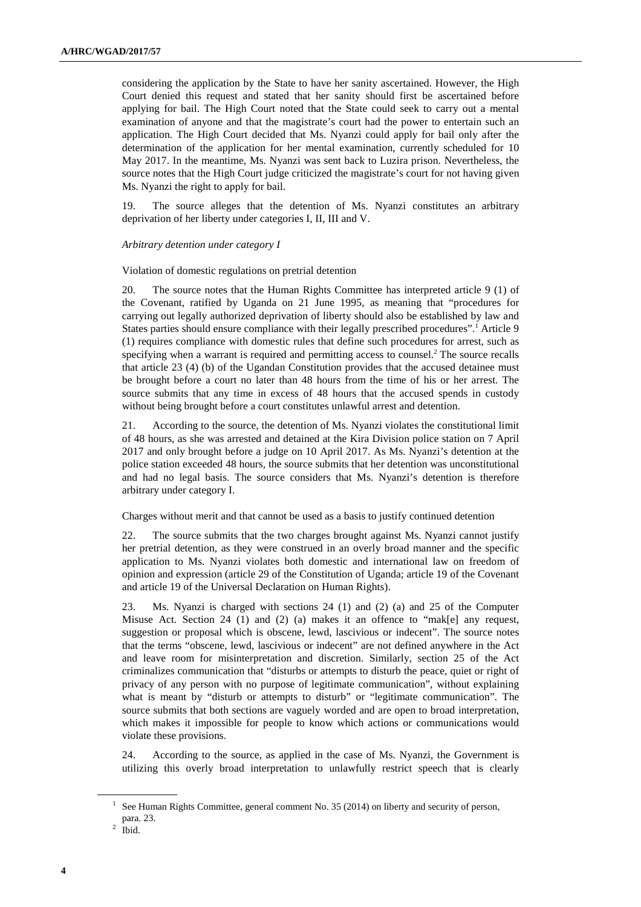considering the application by the State to have her sanity ascertained. However, the High Court denied this request and stated that her sanity should first be ascertained before applying for bail. The High Court noted that the State could seek to carry out a mental examination of anyone and that the magistrate's court had the power to entertain such an application. The High Court decided that Ms. Nyanzi could apply for bail only after the determination of the application for her mental examination, currently scheduled for 10 May 2017. In the meantime, Ms. Nyanzi was sent back to Luzira prison. Nevertheless, the source notes that the High Court judge criticized the magistrate's court for not having given Ms. Nyanzi the right to apply for bail.

19. The source alleges that the detention of Ms. Nyanzi constitutes an arbitrary deprivation of her liberty under categories I, II, III and V.

#### *Arbitrary detention under category I*

Violation of domestic regulations on pretrial detention

20. The source notes that the Human Rights Committee has interpreted article 9 (1) of the Covenant, ratified by Uganda on 21 June 1995, as meaning that "procedures for carrying out legally authorized deprivation of liberty should also be established by law and States parties should ensure compliance with their legally prescribed procedures".<sup>1</sup> Article 9 (1) requires compliance with domestic rules that define such procedures for arrest, such as specifying when a warrant is required and permitting access to counsel.<sup>2</sup> The source recalls that article 23 (4) (b) of the Ugandan Constitution provides that the accused detainee must be brought before a court no later than 48 hours from the time of his or her arrest. The source submits that any time in excess of 48 hours that the accused spends in custody without being brought before a court constitutes unlawful arrest and detention.

21. According to the source, the detention of Ms. Nyanzi violates the constitutional limit of 48 hours, as she was arrested and detained at the Kira Division police station on 7 April 2017 and only brought before a judge on 10 April 2017. As Ms. Nyanzi's detention at the police station exceeded 48 hours, the source submits that her detention was unconstitutional and had no legal basis. The source considers that Ms. Nyanzi's detention is therefore arbitrary under category I.

Charges without merit and that cannot be used as a basis to justify continued detention

22. The source submits that the two charges brought against Ms. Nyanzi cannot justify her pretrial detention, as they were construed in an overly broad manner and the specific application to Ms. Nyanzi violates both domestic and international law on freedom of opinion and expression (article 29 of the Constitution of Uganda; article 19 of the Covenant and article 19 of the Universal Declaration on Human Rights).

23. Ms. Nyanzi is charged with sections 24 (1) and (2) (a) and 25 of the Computer Misuse Act. Section 24 (1) and (2) (a) makes it an offence to "mak[e] any request, suggestion or proposal which is obscene, lewd, lascivious or indecent". The source notes that the terms "obscene, lewd, lascivious or indecent" are not defined anywhere in the Act and leave room for misinterpretation and discretion. Similarly, section 25 of the Act criminalizes communication that "disturbs or attempts to disturb the peace, quiet or right of privacy of any person with no purpose of legitimate communication", without explaining what is meant by "disturb or attempts to disturb" or "legitimate communication". The source submits that both sections are vaguely worded and are open to broad interpretation, which makes it impossible for people to know which actions or communications would violate these provisions.

24. According to the source, as applied in the case of Ms. Nyanzi, the Government is utilizing this overly broad interpretation to unlawfully restrict speech that is clearly

<sup>&</sup>lt;sup>1</sup> See Human Rights Committee, general comment No. 35 (2014) on liberty and security of person, para. 23.

 $<sup>2</sup>$  Ibid.</sup>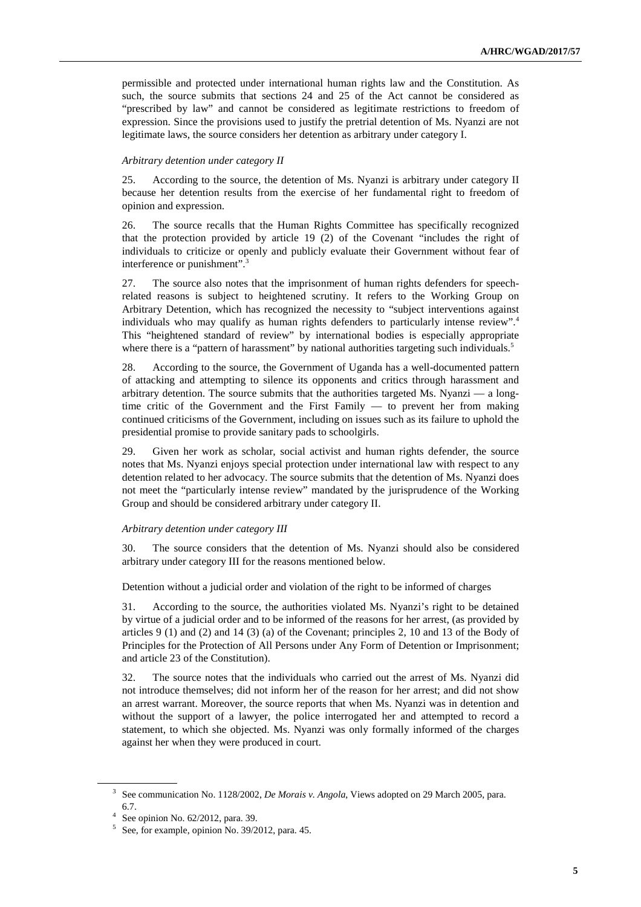permissible and protected under international human rights law and the Constitution. As such, the source submits that sections 24 and 25 of the Act cannot be considered as "prescribed by law" and cannot be considered as legitimate restrictions to freedom of expression. Since the provisions used to justify the pretrial detention of Ms. Nyanzi are not legitimate laws, the source considers her detention as arbitrary under category I.

#### *Arbitrary detention under category II*

25. According to the source, the detention of Ms. Nyanzi is arbitrary under category II because her detention results from the exercise of her fundamental right to freedom of opinion and expression.

26. The source recalls that the Human Rights Committee has specifically recognized that the protection provided by article 19 (2) of the Covenant "includes the right of individuals to criticize or openly and publicly evaluate their Government without fear of interference or punishment".<sup>3</sup>

27. The source also notes that the imprisonment of human rights defenders for speechrelated reasons is subject to heightened scrutiny. It refers to the Working Group on Arbitrary Detention, which has recognized the necessity to "subject interventions against individuals who may qualify as human rights defenders to particularly intense review".<sup>4</sup> This "heightened standard of review" by international bodies is especially appropriate where there is a "pattern of harassment" by national authorities targeting such individuals.<sup>5</sup>

28. According to the source, the Government of Uganda has a well-documented pattern of attacking and attempting to silence its opponents and critics through harassment and arbitrary detention. The source submits that the authorities targeted Ms. Nyanzi — a longtime critic of the Government and the First Family — to prevent her from making continued criticisms of the Government, including on issues such as its failure to uphold the presidential promise to provide sanitary pads to schoolgirls.

29. Given her work as scholar, social activist and human rights defender, the source notes that Ms. Nyanzi enjoys special protection under international law with respect to any detention related to her advocacy. The source submits that the detention of Ms. Nyanzi does not meet the "particularly intense review" mandated by the jurisprudence of the Working Group and should be considered arbitrary under category II.

#### *Arbitrary detention under category III*

30. The source considers that the detention of Ms. Nyanzi should also be considered arbitrary under category III for the reasons mentioned below.

Detention without a judicial order and violation of the right to be informed of charges

31. According to the source, the authorities violated Ms. Nyanzi's right to be detained by virtue of a judicial order and to be informed of the reasons for her arrest, (as provided by articles 9 (1) and (2) and 14 (3) (a) of the Covenant; principles 2, 10 and 13 of the Body of Principles for the Protection of All Persons under Any Form of Detention or Imprisonment; and article 23 of the Constitution).

32. The source notes that the individuals who carried out the arrest of Ms. Nyanzi did not introduce themselves; did not inform her of the reason for her arrest; and did not show an arrest warrant. Moreover, the source reports that when Ms. Nyanzi was in detention and without the support of a lawyer, the police interrogated her and attempted to record a statement, to which she objected. Ms. Nyanzi was only formally informed of the charges against her when they were produced in court.

<sup>3</sup> See communication No. 1128/2002, *De Morais v. Angola*, Views adopted on 29 March 2005, para. 6.7.

<sup>4</sup> See opinion No. 62/2012, para. 39.

<sup>5</sup> See, for example, opinion No. 39/2012, para. 45.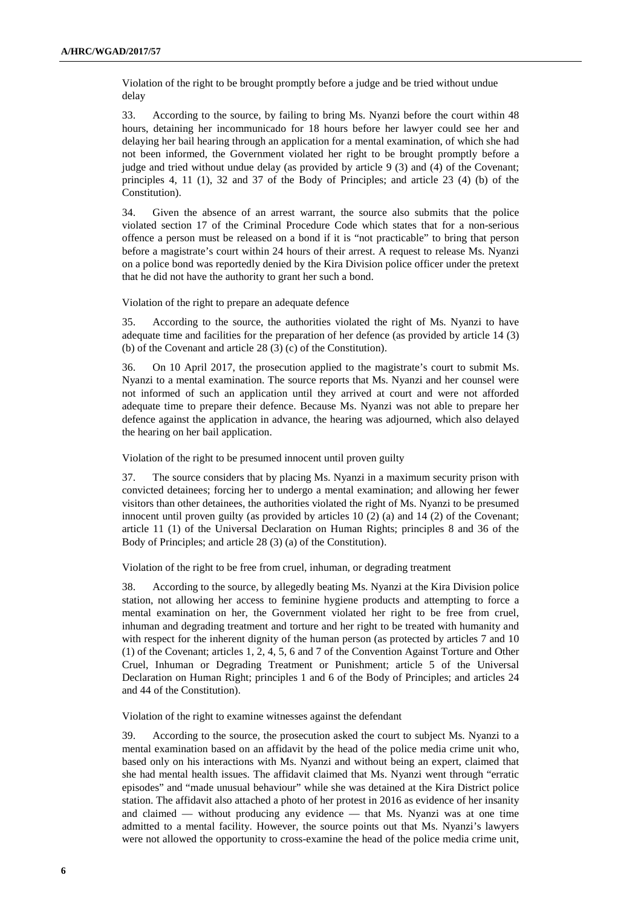Violation of the right to be brought promptly before a judge and be tried without undue delay

33. According to the source, by failing to bring Ms. Nyanzi before the court within 48 hours, detaining her incommunicado for 18 hours before her lawyer could see her and delaying her bail hearing through an application for a mental examination, of which she had not been informed, the Government violated her right to be brought promptly before a judge and tried without undue delay (as provided by article 9 (3) and (4) of the Covenant; principles 4, 11 (1), 32 and 37 of the Body of Principles; and article 23 (4) (b) of the Constitution).

34. Given the absence of an arrest warrant, the source also submits that the police violated section 17 of the Criminal Procedure Code which states that for a non-serious offence a person must be released on a bond if it is "not practicable" to bring that person before a magistrate's court within 24 hours of their arrest. A request to release Ms. Nyanzi on a police bond was reportedly denied by the Kira Division police officer under the pretext that he did not have the authority to grant her such a bond.

Violation of the right to prepare an adequate defence

35. According to the source, the authorities violated the right of Ms. Nyanzi to have adequate time and facilities for the preparation of her defence (as provided by article 14 (3) (b) of the Covenant and article 28 (3) (c) of the Constitution).

36. On 10 April 2017, the prosecution applied to the magistrate's court to submit Ms. Nyanzi to a mental examination. The source reports that Ms. Nyanzi and her counsel were not informed of such an application until they arrived at court and were not afforded adequate time to prepare their defence. Because Ms. Nyanzi was not able to prepare her defence against the application in advance, the hearing was adjourned, which also delayed the hearing on her bail application.

Violation of the right to be presumed innocent until proven guilty

37. The source considers that by placing Ms. Nyanzi in a maximum security prison with convicted detainees; forcing her to undergo a mental examination; and allowing her fewer visitors than other detainees, the authorities violated the right of Ms. Nyanzi to be presumed innocent until proven guilty (as provided by articles 10 (2) (a) and 14 (2) of the Covenant; article 11 (1) of the Universal Declaration on Human Rights; principles 8 and 36 of the Body of Principles; and article 28 (3) (a) of the Constitution).

Violation of the right to be free from cruel, inhuman, or degrading treatment

38. According to the source, by allegedly beating Ms. Nyanzi at the Kira Division police station, not allowing her access to feminine hygiene products and attempting to force a mental examination on her, the Government violated her right to be free from cruel, inhuman and degrading treatment and torture and her right to be treated with humanity and with respect for the inherent dignity of the human person (as protected by articles 7 and 10 (1) of the Covenant; articles 1, 2, 4, 5, 6 and 7 of the Convention Against Torture and Other Cruel, Inhuman or Degrading Treatment or Punishment; article 5 of the Universal Declaration on Human Right; principles 1 and 6 of the Body of Principles; and articles 24 and 44 of the Constitution).

Violation of the right to examine witnesses against the defendant

39. According to the source, the prosecution asked the court to subject Ms. Nyanzi to a mental examination based on an affidavit by the head of the police media crime unit who, based only on his interactions with Ms. Nyanzi and without being an expert, claimed that she had mental health issues. The affidavit claimed that Ms. Nyanzi went through "erratic episodes" and "made unusual behaviour" while she was detained at the Kira District police station. The affidavit also attached a photo of her protest in 2016 as evidence of her insanity and claimed — without producing any evidence — that Ms. Nyanzi was at one time admitted to a mental facility. However, the source points out that Ms. Nyanzi's lawyers were not allowed the opportunity to cross-examine the head of the police media crime unit,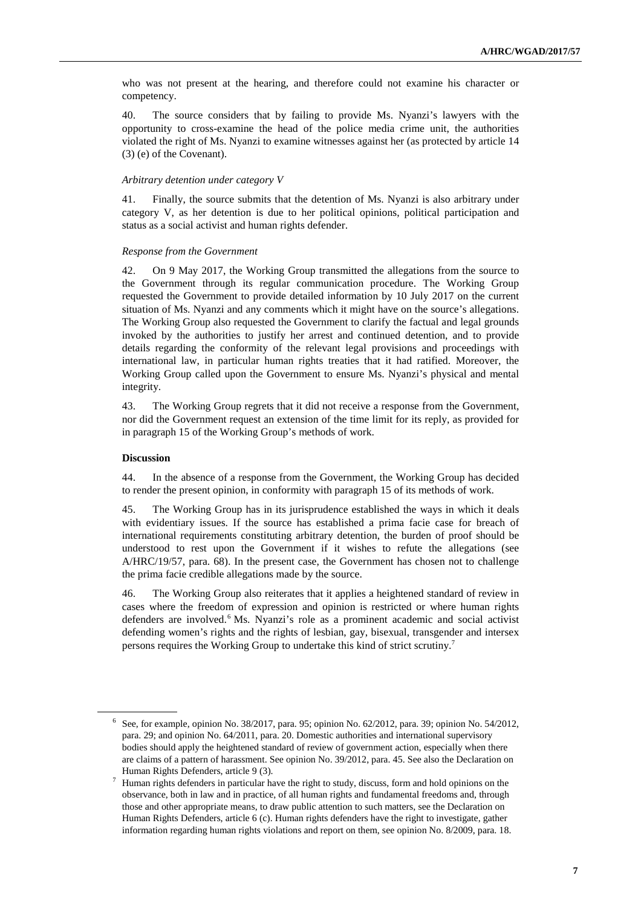who was not present at the hearing, and therefore could not examine his character or competency.

40. The source considers that by failing to provide Ms. Nyanzi's lawyers with the opportunity to cross-examine the head of the police media crime unit, the authorities violated the right of Ms. Nyanzi to examine witnesses against her (as protected by article 14 (3) (e) of the Covenant).

#### *Arbitrary detention under category V*

41. Finally, the source submits that the detention of Ms. Nyanzi is also arbitrary under category V, as her detention is due to her political opinions, political participation and status as a social activist and human rights defender.

#### *Response from the Government*

42. On 9 May 2017, the Working Group transmitted the allegations from the source to the Government through its regular communication procedure. The Working Group requested the Government to provide detailed information by 10 July 2017 on the current situation of Ms. Nyanzi and any comments which it might have on the source's allegations. The Working Group also requested the Government to clarify the factual and legal grounds invoked by the authorities to justify her arrest and continued detention, and to provide details regarding the conformity of the relevant legal provisions and proceedings with international law, in particular human rights treaties that it had ratified. Moreover, the Working Group called upon the Government to ensure Ms. Nyanzi's physical and mental integrity.

43. The Working Group regrets that it did not receive a response from the Government, nor did the Government request an extension of the time limit for its reply, as provided for in paragraph 15 of the Working Group's methods of work.

#### **Discussion**

 $\overline{a}$ 

44. In the absence of a response from the Government, the Working Group has decided to render the present opinion, in conformity with paragraph 15 of its methods of work.

45. The Working Group has in its jurisprudence established the ways in which it deals with evidentiary issues. If the source has established a prima facie case for breach of international requirements constituting arbitrary detention, the burden of proof should be understood to rest upon the Government if it wishes to refute the allegations (see A/HRC/19/57, para. 68). In the present case, the Government has chosen not to challenge the prima facie credible allegations made by the source.

46. The Working Group also reiterates that it applies a heightened standard of review in cases where the freedom of expression and opinion is restricted or where human rights defenders are involved.<sup>6</sup> Ms. Nyanzi's role as a prominent academic and social activist defending women's rights and the rights of lesbian, gay, bisexual, transgender and intersex persons requires the Working Group to undertake this kind of strict scrutiny.<sup>7</sup>

<sup>6</sup> See, for example, opinion No. 38/2017, para. 95; opinion No. 62/2012, para. 39; opinion No. 54/2012, para. 29; and opinion No. 64/2011, para. 20. Domestic authorities and international supervisory bodies should apply the heightened standard of review of government action, especially when there are claims of a pattern of harassment. See opinion No. 39/2012, para. 45. See also the Declaration on Human Rights Defenders, article 9 (3).

<sup>7</sup> Human rights defenders in particular have the right to study, discuss, form and hold opinions on the observance, both in law and in practice, of all human rights and fundamental freedoms and, through those and other appropriate means, to draw public attention to such matters, see the Declaration on Human Rights Defenders, article 6 (c). Human rights defenders have the right to investigate, gather information regarding human rights violations and report on them, see opinion No. 8/2009, para. 18.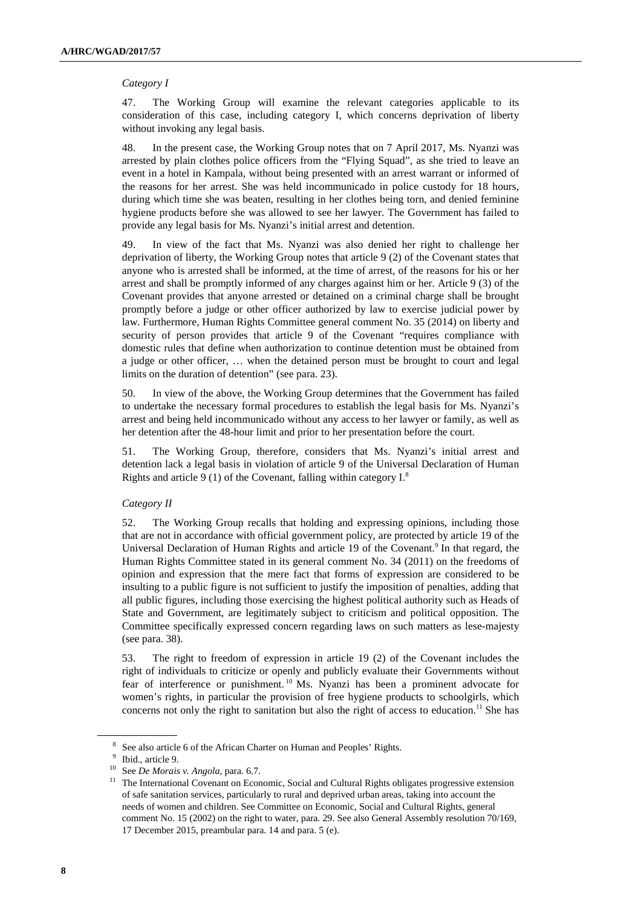#### *Category I*

47. The Working Group will examine the relevant categories applicable to its consideration of this case, including category I, which concerns deprivation of liberty without invoking any legal basis.

48. In the present case, the Working Group notes that on 7 April 2017, Ms. Nyanzi was arrested by plain clothes police officers from the "Flying Squad", as she tried to leave an event in a hotel in Kampala, without being presented with an arrest warrant or informed of the reasons for her arrest. She was held incommunicado in police custody for 18 hours, during which time she was beaten, resulting in her clothes being torn, and denied feminine hygiene products before she was allowed to see her lawyer. The Government has failed to provide any legal basis for Ms. Nyanzi's initial arrest and detention.

49. In view of the fact that Ms. Nyanzi was also denied her right to challenge her deprivation of liberty, the Working Group notes that article 9 (2) of the Covenant states that anyone who is arrested shall be informed, at the time of arrest, of the reasons for his or her arrest and shall be promptly informed of any charges against him or her. Article 9 (3) of the Covenant provides that anyone arrested or detained on a criminal charge shall be brought promptly before a judge or other officer authorized by law to exercise judicial power by law. Furthermore, Human Rights Committee general comment No. 35 (2014) on liberty and security of person provides that article 9 of the Covenant "requires compliance with domestic rules that define when authorization to continue detention must be obtained from a judge or other officer, … when the detained person must be brought to court and legal limits on the duration of detention" (see para. 23).

50. In view of the above, the Working Group determines that the Government has failed to undertake the necessary formal procedures to establish the legal basis for Ms. Nyanzi's arrest and being held incommunicado without any access to her lawyer or family, as well as her detention after the 48-hour limit and prior to her presentation before the court.

51. The Working Group, therefore, considers that Ms. Nyanzi's initial arrest and detention lack a legal basis in violation of article 9 of the Universal Declaration of Human Rights and article 9 (1) of the Covenant, falling within category  $I^8$ .

#### *Category II*

52. The Working Group recalls that holding and expressing opinions, including those that are not in accordance with official government policy, are protected by article 19 of the Universal Declaration of Human Rights and article 19 of the Covenant.<sup>9</sup> In that regard, the Human Rights Committee stated in its general comment No. 34 (2011) on the freedoms of opinion and expression that the mere fact that forms of expression are considered to be insulting to a public figure is not sufficient to justify the imposition of penalties, adding that all public figures, including those exercising the highest political authority such as Heads of State and Government, are legitimately subject to criticism and political opposition. The Committee specifically expressed concern regarding laws on such matters as lese-majesty (see para. 38).

53. The right to freedom of expression in article 19 (2) of the Covenant includes the right of individuals to criticize or openly and publicly evaluate their Governments without fear of interference or punishment. <sup>10</sup> Ms. Nyanzi has been a prominent advocate for women's rights, in particular the provision of free hygiene products to schoolgirls, which concerns not only the right to sanitation but also the right of access to education.<sup>11</sup> She has

<sup>&</sup>lt;sup>8</sup> See also article 6 of the African Charter on Human and Peoples' Rights.

<sup>9</sup> Ibid., article 9.

<sup>10</sup> See *De Morais v. Angola*, para. 6.7.

<sup>&</sup>lt;sup>11</sup> The International Covenant on Economic, Social and Cultural Rights obligates progressive extension of safe sanitation services, particularly to rural and deprived urban areas, taking into account the needs of women and children. See Committee on Economic, Social and Cultural Rights, general comment No. 15 (2002) on the right to water, para. 29. See also General Assembly resolution 70/169, 17 December 2015, preambular para. 14 and para. 5 (e).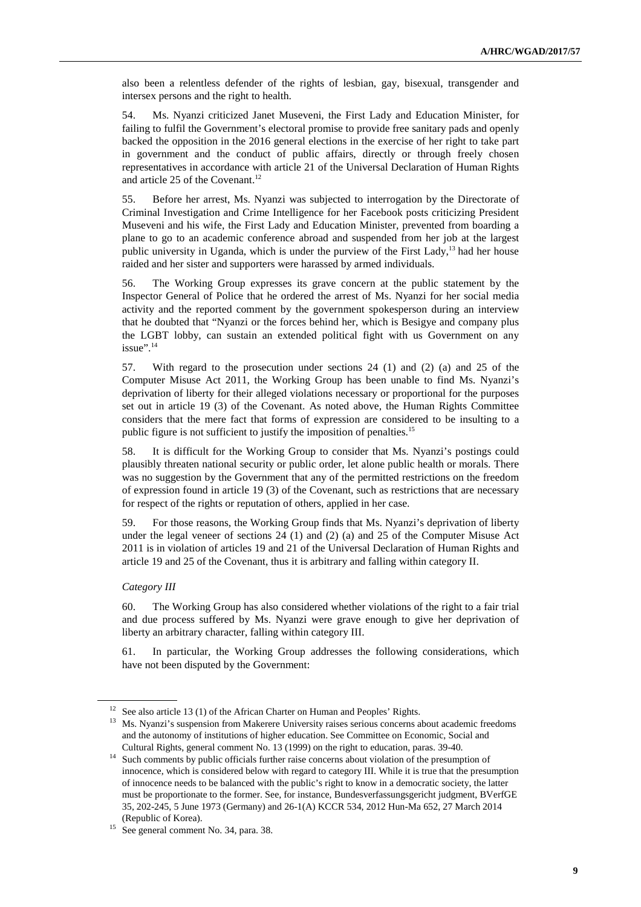also been a relentless defender of the rights of lesbian, gay, bisexual, transgender and intersex persons and the right to health.

54. Ms. Nyanzi criticized Janet Museveni, the First Lady and Education Minister, for failing to fulfil the Government's electoral promise to provide free sanitary pads and openly backed the opposition in the 2016 general elections in the exercise of her right to take part in government and the conduct of public affairs, directly or through freely chosen representatives in accordance with article 21 of the Universal Declaration of Human Rights and article 25 of the Covenant.<sup>12</sup>

55. Before her arrest, Ms. Nyanzi was subjected to interrogation by the Directorate of Criminal Investigation and Crime Intelligence for her Facebook posts criticizing President Museveni and his wife, the First Lady and Education Minister, prevented from boarding a plane to go to an academic conference abroad and suspended from her job at the largest public university in Uganda, which is under the purview of the First Lady, $^{13}$  had her house raided and her sister and supporters were harassed by armed individuals.

56. The Working Group expresses its grave concern at the public statement by the Inspector General of Police that he ordered the arrest of Ms. Nyanzi for her social media activity and the reported comment by the government spokesperson during an interview that he doubted that "Nyanzi or the forces behind her, which is Besigye and company plus the LGBT lobby, can sustain an extended political fight with us Government on any issue".<sup>14</sup>

57. With regard to the prosecution under sections 24 (1) and (2) (a) and 25 of the Computer Misuse Act 2011, the Working Group has been unable to find Ms. Nyanzi's deprivation of liberty for their alleged violations necessary or proportional for the purposes set out in article 19 (3) of the Covenant. As noted above, the Human Rights Committee considers that the mere fact that forms of expression are considered to be insulting to a public figure is not sufficient to justify the imposition of penalties.<sup>15</sup>

58. It is difficult for the Working Group to consider that Ms. Nyanzi's postings could plausibly threaten national security or public order, let alone public health or morals. There was no suggestion by the Government that any of the permitted restrictions on the freedom of expression found in article 19 (3) of the Covenant, such as restrictions that are necessary for respect of the rights or reputation of others, applied in her case.

59. For those reasons, the Working Group finds that Ms. Nyanzi's deprivation of liberty under the legal veneer of sections 24 (1) and (2) (a) and 25 of the Computer Misuse Act 2011 is in violation of articles 19 and 21 of the Universal Declaration of Human Rights and article 19 and 25 of the Covenant, thus it is arbitrary and falling within category II.

#### *Category III*

 $\overline{a}$ 

60. The Working Group has also considered whether violations of the right to a fair trial and due process suffered by Ms. Nyanzi were grave enough to give her deprivation of liberty an arbitrary character, falling within category III.

61. In particular, the Working Group addresses the following considerations, which have not been disputed by the Government:

<sup>&</sup>lt;sup>12</sup> See also article 13 (1) of the African Charter on Human and Peoples' Rights.

<sup>&</sup>lt;sup>13</sup> Ms. Nyanzi's suspension from Makerere University raises serious concerns about academic freedoms and the autonomy of institutions of higher education. See Committee on Economic, Social and Cultural Rights, general comment No. 13 (1999) on the right to education, paras. 39-40.

<sup>&</sup>lt;sup>14</sup> Such comments by public officials further raise concerns about violation of the presumption of innocence, which is considered below with regard to category III. While it is true that the presumption of innocence needs to be balanced with the public's right to know in a democratic society, the latter must be proportionate to the former. See, for instance, Bundesverfassungsgericht judgment, BVerfGE 35, 202-245, 5 June 1973 (Germany) and 26-1(A) KCCR 534, 2012 Hun-Ma 652, 27 March 2014 (Republic of Korea).

<sup>&</sup>lt;sup>15</sup> See general comment No. 34, para. 38.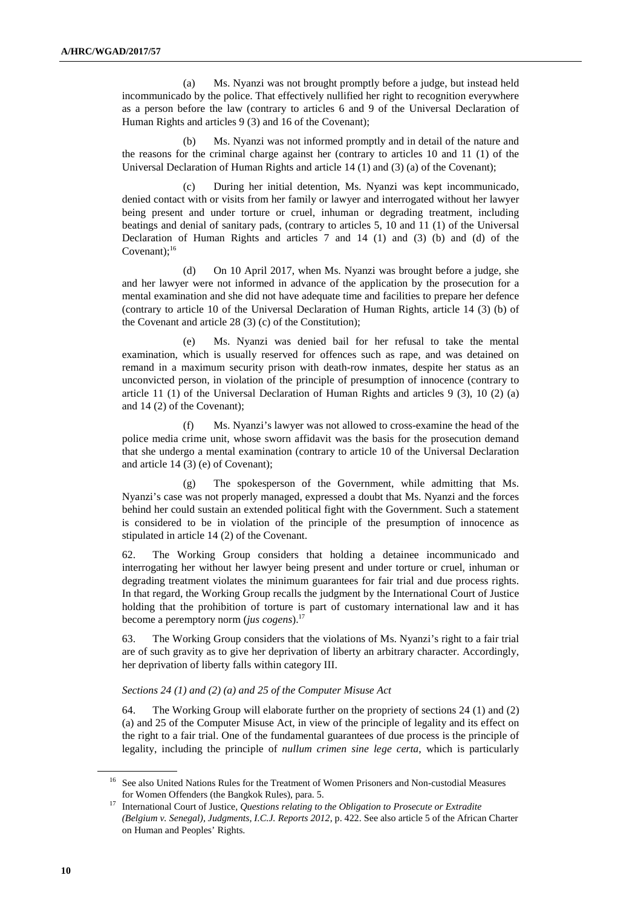(a) Ms. Nyanzi was not brought promptly before a judge, but instead held incommunicado by the police. That effectively nullified her right to recognition everywhere as a person before the law (contrary to articles 6 and 9 of the Universal Declaration of Human Rights and articles 9 (3) and 16 of the Covenant);

 (b) Ms. Nyanzi was not informed promptly and in detail of the nature and the reasons for the criminal charge against her (contrary to articles 10 and 11 (1) of the Universal Declaration of Human Rights and article 14 (1) and (3) (a) of the Covenant);

 (c) During her initial detention, Ms. Nyanzi was kept incommunicado, denied contact with or visits from her family or lawyer and interrogated without her lawyer being present and under torture or cruel, inhuman or degrading treatment, including beatings and denial of sanitary pads, (contrary to articles 5, 10 and 11 (1) of the Universal Declaration of Human Rights and articles 7 and 14 (1) and (3) (b) and (d) of the Covenant); $^{16}$ 

 (d) On 10 April 2017, when Ms. Nyanzi was brought before a judge, she and her lawyer were not informed in advance of the application by the prosecution for a mental examination and she did not have adequate time and facilities to prepare her defence (contrary to article 10 of the Universal Declaration of Human Rights, article 14 (3) (b) of the Covenant and article 28 (3) (c) of the Constitution);

 (e) Ms. Nyanzi was denied bail for her refusal to take the mental examination, which is usually reserved for offences such as rape, and was detained on remand in a maximum security prison with death-row inmates, despite her status as an unconvicted person, in violation of the principle of presumption of innocence (contrary to article 11 (1) of the Universal Declaration of Human Rights and articles 9 (3), 10 (2) (a) and 14 (2) of the Covenant);

 (f) Ms. Nyanzi's lawyer was not allowed to cross-examine the head of the police media crime unit, whose sworn affidavit was the basis for the prosecution demand that she undergo a mental examination (contrary to article 10 of the Universal Declaration and article 14 (3) (e) of Covenant);

 (g) The spokesperson of the Government, while admitting that Ms. Nyanzi's case was not properly managed, expressed a doubt that Ms. Nyanzi and the forces behind her could sustain an extended political fight with the Government. Such a statement is considered to be in violation of the principle of the presumption of innocence as stipulated in article 14 (2) of the Covenant.

62. The Working Group considers that holding a detainee incommunicado and interrogating her without her lawyer being present and under torture or cruel, inhuman or degrading treatment violates the minimum guarantees for fair trial and due process rights. In that regard, the Working Group recalls the judgment by the International Court of Justice holding that the prohibition of torture is part of customary international law and it has become a peremptory norm (*jus cogens*).<sup>17</sup>

63. The Working Group considers that the violations of Ms. Nyanzi's right to a fair trial are of such gravity as to give her deprivation of liberty an arbitrary character. Accordingly, her deprivation of liberty falls within category III.

#### *Sections 24 (1) and (2) (a) and 25 of the Computer Misuse Act*

64. The Working Group will elaborate further on the propriety of sections 24 (1) and (2) (a) and 25 of the Computer Misuse Act, in view of the principle of legality and its effect on the right to a fair trial. One of the fundamental guarantees of due process is the principle of legality, including the principle of *nullum crimen sine lege certa*, which is particularly

<sup>&</sup>lt;sup>16</sup> See also United Nations Rules for the Treatment of Women Prisoners and Non-custodial Measures for Women Offenders (the Bangkok Rules), para. 5.

<sup>17</sup> International Court of Justice, *Questions relating to the Obligation to Prosecute or Extradite (Belgium v. Senegal), Judgments, I.C.J. Reports 2012*, p. 422. See also article 5 of the African Charter on Human and Peoples' Rights.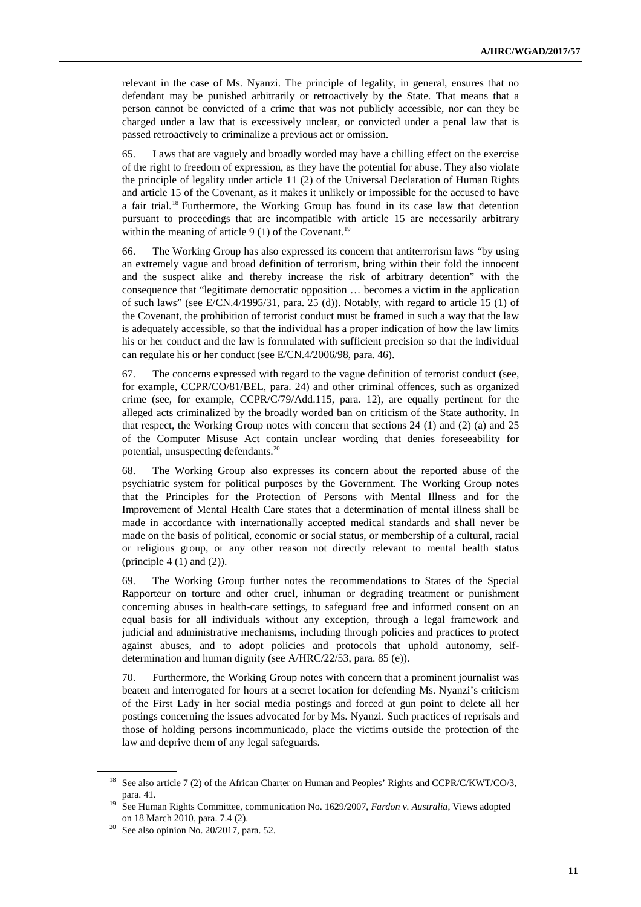relevant in the case of Ms. Nyanzi. The principle of legality, in general, ensures that no defendant may be punished arbitrarily or retroactively by the State. That means that a person cannot be convicted of a crime that was not publicly accessible, nor can they be charged under a law that is excessively unclear, or convicted under a penal law that is passed retroactively to criminalize a previous act or omission.

65. Laws that are vaguely and broadly worded may have a chilling effect on the exercise of the right to freedom of expression, as they have the potential for abuse. They also violate the principle of legality under article 11 (2) of the Universal Declaration of Human Rights and article 15 of the Covenant, as it makes it unlikely or impossible for the accused to have a fair trial.<sup>18</sup> Furthermore, the Working Group has found in its case law that detention pursuant to proceedings that are incompatible with article 15 are necessarily arbitrary within the meaning of article  $9(1)$  of the Covenant.<sup>19</sup>

66. The Working Group has also expressed its concern that antiterrorism laws "by using an extremely vague and broad definition of terrorism, bring within their fold the innocent and the suspect alike and thereby increase the risk of arbitrary detention" with the consequence that "legitimate democratic opposition … becomes a victim in the application of such laws" (see E/CN.4/1995/31, para. 25 (d)). Notably, with regard to article 15 (1) of the Covenant, the prohibition of terrorist conduct must be framed in such a way that the law is adequately accessible, so that the individual has a proper indication of how the law limits his or her conduct and the law is formulated with sufficient precision so that the individual can regulate his or her conduct (see E/CN.4/2006/98, para. 46).

67. The concerns expressed with regard to the vague definition of terrorist conduct (see, for example, CCPR/CO/81/BEL, para. 24) and other criminal offences, such as organized crime (see, for example, CCPR/C/79/Add.115, para. 12), are equally pertinent for the alleged acts criminalized by the broadly worded ban on criticism of the State authority. In that respect, the Working Group notes with concern that sections 24 (1) and (2) (a) and 25 of the Computer Misuse Act contain unclear wording that denies foreseeability for potential, unsuspecting defendants.<sup>20</sup>

68. The Working Group also expresses its concern about the reported abuse of the psychiatric system for political purposes by the Government. The Working Group notes that the Principles for the Protection of Persons with Mental Illness and for the Improvement of Mental Health Care states that a determination of mental illness shall be made in accordance with internationally accepted medical standards and shall never be made on the basis of political, economic or social status, or membership of a cultural, racial or religious group, or any other reason not directly relevant to mental health status (principle  $4(1)$  and  $(2)$ ).

69. The Working Group further notes the recommendations to States of the Special Rapporteur on torture and other cruel, inhuman or degrading treatment or punishment concerning abuses in health-care settings, to safeguard free and informed consent on an equal basis for all individuals without any exception, through a legal framework and judicial and administrative mechanisms, including through policies and practices to protect against abuses, and to adopt policies and protocols that uphold autonomy, selfdetermination and human dignity (see A/HRC/22/53, para. 85 (e)).

70. Furthermore, the Working Group notes with concern that a prominent journalist was beaten and interrogated for hours at a secret location for defending Ms. Nyanzi's criticism of the First Lady in her social media postings and forced at gun point to delete all her postings concerning the issues advocated for by Ms. Nyanzi. Such practices of reprisals and those of holding persons incommunicado, place the victims outside the protection of the law and deprive them of any legal safeguards.

<sup>&</sup>lt;sup>18</sup> See also article 7 (2) of the African Charter on Human and Peoples' Rights and CCPR/C/KWT/CO/3, para. 41.

<sup>19</sup> See Human Rights Committee, communication No. 1629/2007, *Fardon v. Australia*, Views adopted on 18 March 2010, para. 7.4 (2).

 $20$  See also opinion No. 20/2017, para. 52.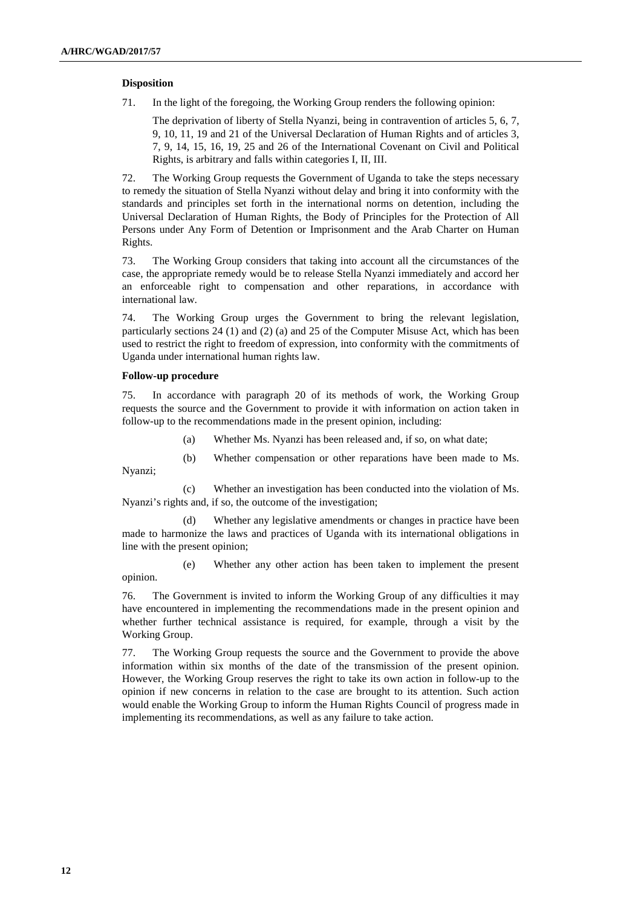#### **Disposition**

71. In the light of the foregoing, the Working Group renders the following opinion:

The deprivation of liberty of Stella Nyanzi, being in contravention of articles 5, 6, 7, 9, 10, 11, 19 and 21 of the Universal Declaration of Human Rights and of articles 3, 7, 9, 14, 15, 16, 19, 25 and 26 of the International Covenant on Civil and Political Rights, is arbitrary and falls within categories I, II, III.

72. The Working Group requests the Government of Uganda to take the steps necessary to remedy the situation of Stella Nyanzi without delay and bring it into conformity with the standards and principles set forth in the international norms on detention, including the Universal Declaration of Human Rights, the Body of Principles for the Protection of All Persons under Any Form of Detention or Imprisonment and the Arab Charter on Human Rights.

73. The Working Group considers that taking into account all the circumstances of the case, the appropriate remedy would be to release Stella Nyanzi immediately and accord her an enforceable right to compensation and other reparations, in accordance with international law.

74. The Working Group urges the Government to bring the relevant legislation, particularly sections 24 (1) and (2) (a) and 25 of the Computer Misuse Act, which has been used to restrict the right to freedom of expression, into conformity with the commitments of Uganda under international human rights law.

#### **Follow-up procedure**

Nyanzi;

75. In accordance with paragraph 20 of its methods of work, the Working Group requests the source and the Government to provide it with information on action taken in follow-up to the recommendations made in the present opinion, including:

- (a) Whether Ms. Nyanzi has been released and, if so, on what date;
- (b) Whether compensation or other reparations have been made to Ms.

 (c) Whether an investigation has been conducted into the violation of Ms. Nyanzi's rights and, if so, the outcome of the investigation;

 (d) Whether any legislative amendments or changes in practice have been made to harmonize the laws and practices of Uganda with its international obligations in line with the present opinion;

 (e) Whether any other action has been taken to implement the present opinion.

76. The Government is invited to inform the Working Group of any difficulties it may have encountered in implementing the recommendations made in the present opinion and whether further technical assistance is required, for example, through a visit by the Working Group.

77. The Working Group requests the source and the Government to provide the above information within six months of the date of the transmission of the present opinion. However, the Working Group reserves the right to take its own action in follow-up to the opinion if new concerns in relation to the case are brought to its attention. Such action would enable the Working Group to inform the Human Rights Council of progress made in implementing its recommendations, as well as any failure to take action.